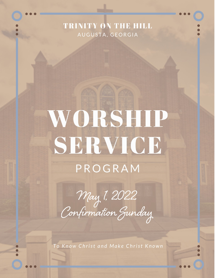### TRINITY ON THE HILL AUGUSTA, GEORGIA

# WORSHIP SERVICE PROGRAM

May 1, 2022<br>Confirmation Gunday

To Know Christ and Make Christ Known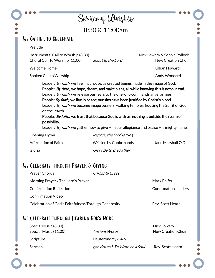|                                                                       | Service of Worghip<br>8:30 & 11:00am                                                                                                                                |                                                                                                                                                                                                                                                                                            |
|-----------------------------------------------------------------------|---------------------------------------------------------------------------------------------------------------------------------------------------------------------|--------------------------------------------------------------------------------------------------------------------------------------------------------------------------------------------------------------------------------------------------------------------------------------------|
|                                                                       |                                                                                                                                                                     |                                                                                                                                                                                                                                                                                            |
| <b>WE GATHER TO CELEBRATE</b>                                         |                                                                                                                                                                     |                                                                                                                                                                                                                                                                                            |
| Prelude                                                               |                                                                                                                                                                     |                                                                                                                                                                                                                                                                                            |
| Instrumental Call to Worship (8:30)<br>Choral Call to Worship (11:00) | Shout to the Lord                                                                                                                                                   | Nick Lowery & Sophie Pollock<br><b>New Creation Choir</b>                                                                                                                                                                                                                                  |
| <b>Welcome Home</b>                                                   |                                                                                                                                                                     | <b>Lillian Howard</b>                                                                                                                                                                                                                                                                      |
| Spoken Call to Worship                                                |                                                                                                                                                                     | Andy Woodard                                                                                                                                                                                                                                                                               |
| on the earth.<br>possibility.                                         | Leader: By faith, we release our fears to the one who commands angel armies.<br>People: By faith, we live in peace; our sins have been justified by Christ's blood. | Leader: <i>By faith</i> , we become image bearers, walking temples, housing the Spirit of God<br>People: By faith, we trust that because God is with us, nothing is outside the realm of<br>Leader: <i>By faith</i> , we gather now to give Him our allegiance and praise His mighty name. |
| Opening Hymn                                                          | Rejoice, the Lord is King                                                                                                                                           |                                                                                                                                                                                                                                                                                            |
| Affirmation of Faith                                                  | <b>Written by Confirmands</b>                                                                                                                                       | Jane Marshall O'Dell                                                                                                                                                                                                                                                                       |
|                                                                       | Glory Be to the Father                                                                                                                                              |                                                                                                                                                                                                                                                                                            |

| <b>Prayer Chorus</b>                                 | O Mighty Cross |                      |
|------------------------------------------------------|----------------|----------------------|
| Morning Prayer / The Lord's Prayer                   |                | Mark Phifer          |
| <b>Confirmation Reflection</b>                       |                | Confirmation Leaders |
| Confirmation Video                                   |                |                      |
| Celebration of God's Faithfulness Through Generosity |                | Rev. Scott Hearn     |
|                                                      |                |                      |

## WE CELEBRATE THROUGH HEARING GOD'S WORD

| Special Music (8:30)  |                                 | <b>Nick Lowery</b> |
|-----------------------|---------------------------------|--------------------|
| Special Music (11:00) | Ancient Words                   | New Creation Choir |
| Scripture             | Deuteronomy 6:4-9               |                    |
| <b>Sermon</b>         | got virtues? To Write on a Soul | Rev. Scott Hearn   |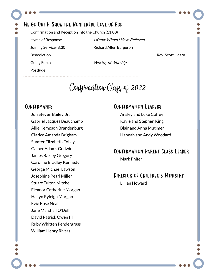#### We Go Out & Show the Wonderful Love of God

Confirmation and Reception into the Church (11:00)

**Benediction Benediction Rev. Scott Hearn** 

Postlude

Hymn of Response I Know Whom I Have Believed Joining Service (8:30) Richard Allen Bargeron

Going Forth Worthy of Worship

Confirmation Class of 2022

#### **CONFIRMANDS**

Jon Steven Bailey, Jr. Gabriel Jacques Beauchamp Allie Kempson Brandenburg Clarice Amanda Brigham Sumter Elizabeth Folley Gainer Adams Godwin James Baxley Gregory Caroline Bradley Kennedy George Michael Lawson Josephine Pearl Miller Stuart Fulton Mitchell Eleanor Catherine Morgan Hailyn Ryleigh Morgan Evie Rose Neal Jane Marshall O'Dell David Patrick Owen III Ruby Whitten Pendergrass William Henry Rivers

#### Confirmation Leaders

Ansley and Luke Coffey Kayle and Stephen King Blair and Anna Mutimer Hannah and Andy Woodard

#### Confirmation Parent Class Leader Mark Phifer

#### Director of Children's Ministry Lillian Howard